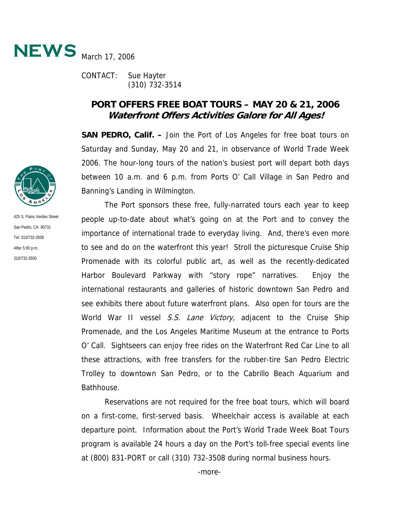

CONTACT: Sue Hayter (310) 732-3514

## **PORT OFFERS FREE BOAT TOURS – MAY 20 & 21, 2006 Waterfront Offers Activities Galore for All Ages!**

**SAN PEDRO, Calif. –** Join the Port of Los Angeles for free boat tours on Saturday and Sunday, May 20 and 21, in observance of World Trade Week 2006. The hour-long tours of the nation's busiest port will depart both days between 10 a.m. and 6 p.m. from Ports O' Call Village in San Pedro and Banning's Landing in Wilmington.

The Port sponsors these free, fully-narrated tours each year to keep people up-to-date about what's going on at the Port and to convey the importance of international trade to everyday living. And, there's even more to see and do on the waterfront this year! Stroll the picturesque Cruise Ship Promenade with its colorful public art, as well as the recently-dedicated Harbor Boulevard Parkway with "story rope" narratives. Enjoy the international restaurants and galleries of historic downtown San Pedro and see exhibits there about future waterfront plans. Also open for tours are the World War II vessel S.S. Lane Victory, adjacent to the Cruise Ship Promenade, and the Los Angeles Maritime Museum at the entrance to Ports O' Call. Sightseers can enjoy free rides on the Waterfront Red Car Line to all these attractions, with free transfers for the rubber-tire San Pedro Electric Trolley to downtown San Pedro, or to the Cabrillo Beach Aquarium and Bathhouse.

Reservations are not required for the free boat tours, which will board on a first-come, first-served basis. Wheelchair access is available at each departure point. Information about the Port's World Trade Week Boat Tours program is available 24 hours a day on the Port's toll-free special events line at (800) 831-PORT or call (310) 732-3508 during normal business hours.



425 S. Palos Verdes Street San Pedro, CA 90731 Tel: 310/732-3508 After 5:00 p.m.: 310/732-3500